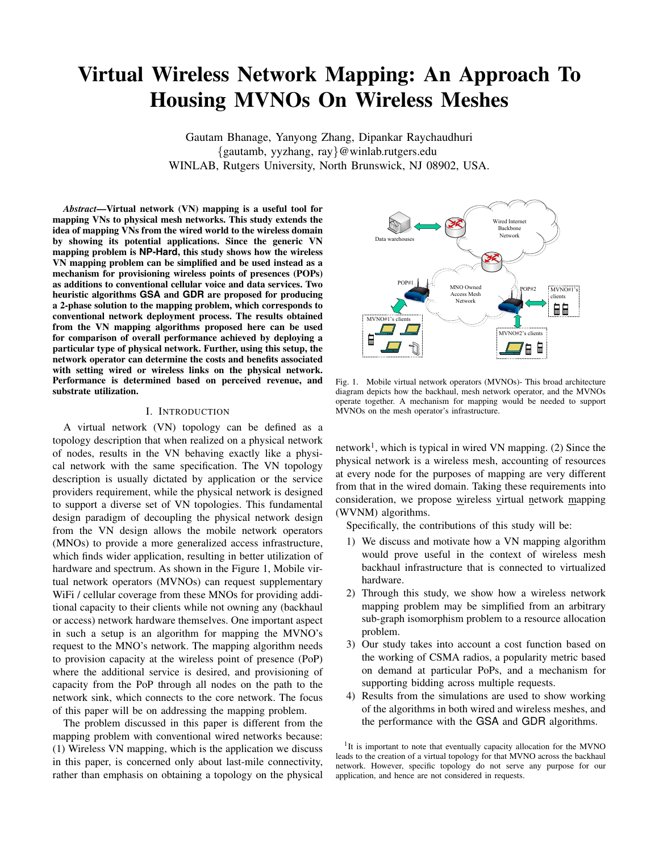# Virtual Wireless Network Mapping: An Approach To Housing MVNOs On Wireless Meshes

Gautam Bhanage, Yanyong Zhang, Dipankar Raychaudhuri {gautamb, yyzhang, ray}@winlab.rutgers.edu WINLAB, Rutgers University, North Brunswick, NJ 08902, USA.

*Abstract*—Virtual network (VN) mapping is a useful tool for mapping VNs to physical mesh networks. This study extends the idea of mapping VNs from the wired world to the wireless domain by showing its potential applications. Since the generic VN mapping problem is **NP-Hard**, this study shows how the wireless VN mapping problem can be simplified and be used instead as a mechanism for provisioning wireless points of presences (POPs) as additions to conventional cellular voice and data services. Two heuristic algorithms **GSA** and **GDR** are proposed for producing a 2-phase solution to the mapping problem, which corresponds to conventional network deployment process. The results obtained from the VN mapping algorithms proposed here can be used for comparison of overall performance achieved by deploying a particular type of physical network. Further, using this setup, the network operator can determine the costs and benefits associated with setting wired or wireless links on the physical network. Performance is determined based on perceived revenue, and substrate utilization.

#### I. INTRODUCTION

A virtual network (VN) topology can be defined as a topology description that when realized on a physical network of nodes, results in the VN behaving exactly like a physical network with the same specification. The VN topology description is usually dictated by application or the service providers requirement, while the physical network is designed to support a diverse set of VN topologies. This fundamental design paradigm of decoupling the physical network design from the VN design allows the mobile network operators (MNOs) to provide a more generalized access infrastructure, which finds wider application, resulting in better utilization of hardware and spectrum. As shown in the Figure 1, Mobile virtual network operators (MVNOs) can request supplementary WiFi / cellular coverage from these MNOs for providing additional capacity to their clients while not owning any (backhaul or access) network hardware themselves. One important aspect in such a setup is an algorithm for mapping the MVNO's request to the MNO's network. The mapping algorithm needs to provision capacity at the wireless point of presence (PoP) where the additional service is desired, and provisioning of capacity from the PoP through all nodes on the path to the network sink, which connects to the core network. The focus of this paper will be on addressing the mapping problem.

The problem discussed in this paper is different from the mapping problem with conventional wired networks because: (1) Wireless VN mapping, which is the application we discuss in this paper, is concerned only about last-mile connectivity, rather than emphasis on obtaining a topology on the physical



Fig. 1. Mobile virtual network operators (MVNOs)- This broad architecture diagram depicts how the backhaul, mesh network operator, and the MVNOs operate together. A mechanism for mapping would be needed to support MVNOs on the mesh operator's infrastructure.

network<sup>1</sup>, which is typical in wired VN mapping. (2) Since the physical network is a wireless mesh, accounting of resources at every node for the purposes of mapping are very different from that in the wired domain. Taking these requirements into consideration, we propose wireless virtual network mapping (WVNM) algorithms.

Specifically, the contributions of this study will be:

- 1) We discuss and motivate how a VN mapping algorithm would prove useful in the context of wireless mesh backhaul infrastructure that is connected to virtualized hardware.
- 2) Through this study, we show how a wireless network mapping problem may be simplified from an arbitrary sub-graph isomorphism problem to a resource allocation problem.
- 3) Our study takes into account a cost function based on the working of CSMA radios, a popularity metric based on demand at particular PoPs, and a mechanism for supporting bidding across multiple requests.
- 4) Results from the simulations are used to show working of the algorithms in both wired and wireless meshes, and the performance with the GSA and GDR algorithms.

<sup>1</sup>It is important to note that eventually capacity allocation for the MVNO leads to the creation of a virtual topology for that MVNO across the backhaul network. However, specific topology do not serve any purpose for our application, and hence are not considered in requests.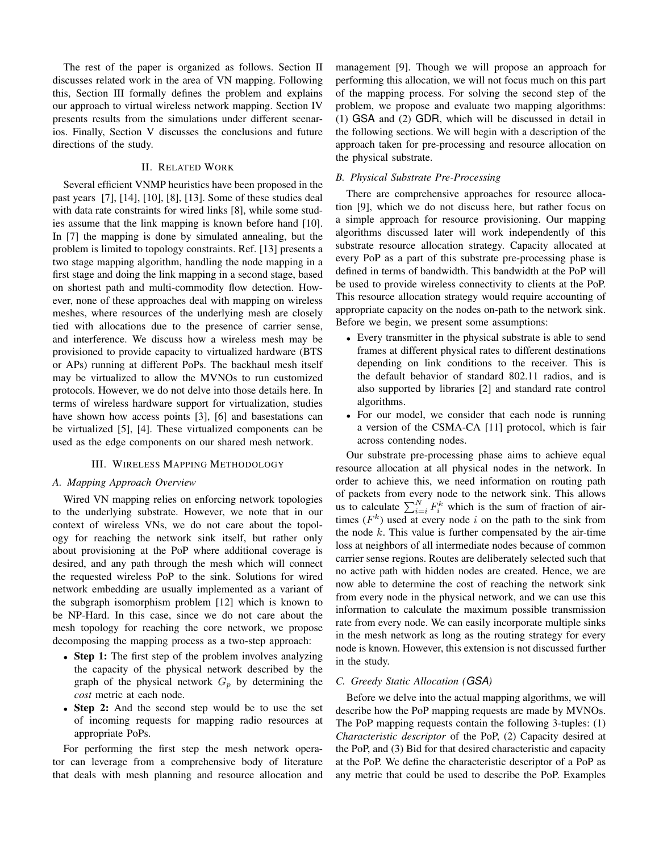The rest of the paper is organized as follows. Section II discusses related work in the area of VN mapping. Following this, Section III formally defines the problem and explains our approach to virtual wireless network mapping. Section IV presents results from the simulations under different scenarios. Finally, Section V discusses the conclusions and future directions of the study.

## II. RELATED WORK

Several efficient VNMP heuristics have been proposed in the past years [7], [14], [10], [8], [13]. Some of these studies deal with data rate constraints for wired links [8], while some studies assume that the link mapping is known before hand [10]. In [7] the mapping is done by simulated annealing, but the problem is limited to topology constraints. Ref. [13] presents a two stage mapping algorithm, handling the node mapping in a first stage and doing the link mapping in a second stage, based on shortest path and multi-commodity flow detection. However, none of these approaches deal with mapping on wireless meshes, where resources of the underlying mesh are closely tied with allocations due to the presence of carrier sense, and interference. We discuss how a wireless mesh may be provisioned to provide capacity to virtualized hardware (BTS or APs) running at different PoPs. The backhaul mesh itself may be virtualized to allow the MVNOs to run customized protocols. However, we do not delve into those details here. In terms of wireless hardware support for virtualization, studies have shown how access points [3], [6] and basestations can be virtualized [5], [4]. These virtualized components can be used as the edge components on our shared mesh network.

## III. WIRELESS MAPPING METHODOLOGY

## *A. Mapping Approach Overview*

Wired VN mapping relies on enforcing network topologies to the underlying substrate. However, we note that in our context of wireless VNs, we do not care about the topology for reaching the network sink itself, but rather only about provisioning at the PoP where additional coverage is desired, and any path through the mesh which will connect the requested wireless PoP to the sink. Solutions for wired network embedding are usually implemented as a variant of the subgraph isomorphism problem [12] which is known to be NP-Hard. In this case, since we do not care about the mesh topology for reaching the core network, we propose decomposing the mapping process as a two-step approach:

- Step 1: The first step of the problem involves analyzing the capacity of the physical network described by the graph of the physical network  $G_p$  by determining the *cost* metric at each node.
- Step 2: And the second step would be to use the set of incoming requests for mapping radio resources at appropriate PoPs.

For performing the first step the mesh network operator can leverage from a comprehensive body of literature that deals with mesh planning and resource allocation and management [9]. Though we will propose an approach for performing this allocation, we will not focus much on this part of the mapping process. For solving the second step of the problem, we propose and evaluate two mapping algorithms: (1) GSA and (2) GDR, which will be discussed in detail in the following sections. We will begin with a description of the approach taken for pre-processing and resource allocation on the physical substrate.

# *B. Physical Substrate Pre-Processing*

There are comprehensive approaches for resource allocation [9], which we do not discuss here, but rather focus on a simple approach for resource provisioning. Our mapping algorithms discussed later will work independently of this substrate resource allocation strategy. Capacity allocated at every PoP as a part of this substrate pre-processing phase is defined in terms of bandwidth. This bandwidth at the PoP will be used to provide wireless connectivity to clients at the PoP. This resource allocation strategy would require accounting of appropriate capacity on the nodes on-path to the network sink. Before we begin, we present some assumptions:

- Every transmitter in the physical substrate is able to send frames at different physical rates to different destinations depending on link conditions to the receiver. This is the default behavior of standard 802.11 radios, and is also supported by libraries [2] and standard rate control algorithms.
- For our model, we consider that each node is running a version of the CSMA-CA [11] protocol, which is fair across contending nodes.

Our substrate pre-processing phase aims to achieve equal resource allocation at all physical nodes in the network. In order to achieve this, we need information on routing path of packets from every node to the network sink. This allows us to calculate  $\sum_{i=i}^{N} F_i^k$  which is the sum of fraction of airtimes  $(F^k)$  used at every node i on the path to the sink from the node  $k$ . This value is further compensated by the air-time loss at neighbors of all intermediate nodes because of common carrier sense regions. Routes are deliberately selected such that no active path with hidden nodes are created. Hence, we are now able to determine the cost of reaching the network sink from every node in the physical network, and we can use this information to calculate the maximum possible transmission rate from every node. We can easily incorporate multiple sinks in the mesh network as long as the routing strategy for every node is known. However, this extension is not discussed further in the study.

# *C. Greedy Static Allocation (GSA)*

Before we delve into the actual mapping algorithms, we will describe how the PoP mapping requests are made by MVNOs. The PoP mapping requests contain the following 3-tuples: (1) *Characteristic descriptor* of the PoP, (2) Capacity desired at the PoP, and (3) Bid for that desired characteristic and capacity at the PoP. We define the characteristic descriptor of a PoP as any metric that could be used to describe the PoP. Examples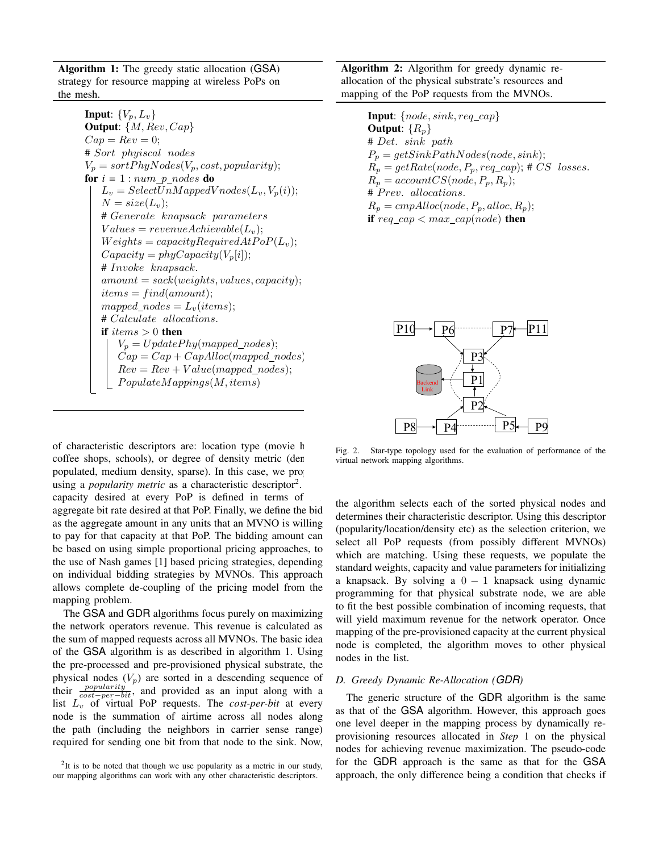Algorithm 1: The greedy static allocation (GSA) strategy for resource mapping at wireless PoPs on the mesh.

> **Input:**  $\{V_p, L_v\}$ **Output:**  $\{M, Rev, Cap\}$  $Cap = Rev = 0;$ # Sort phyiscal nodes  $V_p = sortPhyNodes(V_p, cost, popularity);$ for  $i = 1 : num\_p\_nodes$  do  $L_v = SelectUnMapedV nodes (L_v, V_p(i));$  $N = size(L_v);$ # Generate knapsack parameters  $Values = revenueAction (L_v);$  $Weights = capacityRequiredAtPoP(L_v);$  $Capacity = phyCapacity(V_p[i]);$ # Invoke knapsack.  $amount = sack(weights, values, capacity);$  $items = find(amount);$ mapped\_nodes =  $L<sub>v</sub>(items);$ # Calculate allocations. if  $items > 0$  then  $V_p = UpdatePhy(mapped\_nodes);$  $Cap = Cap + CapAlloc(mapped\_nodes)$  $Rev = Rev + Value (mapped\_nodes);$  $Populate Mappings (M, items)$

Algorithm 2: Algorithm for greedy dynamic reallocation of the physical substrate's resources and mapping of the PoP requests from the MVNOs.

**Input:**  $\{node, sink, req, cap\}$ **Output:**  $\{R_p\}$ # Det. sink path  $P_p = getSinkPathNodes(node, sink);$  $R_p = getRate(node, P_p, req\_cap); \# CS \text{ losses}.$  $R_p = accountCS(node, P_p, R_p);$ # Prev. allocations.  $R_p = \text{cmp} \text{Alloc}(\text{node}, P_p, \text{alloc}, R_p);$ if  $req\_cap < max\_cap(node)$  then



of characteristic descriptors are: location type (movie h coffee shops, schools), or degree of density metric (der populated, medium density, sparse). In this case, we pro using a *popularity metric* as a characteristic descriptor<sup>2</sup>. capacity desired at every PoP is defined in terms of aggregate bit rate desired at that PoP. Finally, we define the bid as the aggregate amount in any units that an MVNO is willing to pay for that capacity at that PoP. The bidding amount can be based on using simple proportional pricing approaches, to the use of Nash games [1] based pricing strategies, depending on individual bidding strategies by MVNOs. This approach allows complete de-coupling of the pricing model from the mapping problem.

The GSA and GDR algorithms focus purely on maximizing the network operators revenue. This revenue is calculated as the sum of mapped requests across all MVNOs. The basic idea of the GSA algorithm is as described in algorithm 1. Using the pre-processed and pre-provisioned physical substrate, the physical nodes  $(V_n)$  are sorted in a descending sequence of their  $\frac{popularity}{cost-per-bit}$ , and provided as an input along with a list  $L_v$  of virtual PoP requests. The *cost-per-bit* at every node is the summation of airtime across all nodes along the path (including the neighbors in carrier sense range) required for sending one bit from that node to the sink. Now,

 $2$ It is to be noted that though we use popularity as a metric in our study, our mapping algorithms can work with any other characteristic descriptors.

Fig. 2. Star-type topology used for the evaluation of performance of the virtual network mapping algorithms.

the algorithm selects each of the sorted physical nodes and determines their characteristic descriptor. Using this descriptor (popularity/location/density etc) as the selection criterion, we select all PoP requests (from possibly different MVNOs) which are matching. Using these requests, we populate the standard weights, capacity and value parameters for initializing a knapsack. By solving a  $0 - 1$  knapsack using dynamic programming for that physical substrate node, we are able to fit the best possible combination of incoming requests, that will yield maximum revenue for the network operator. Once mapping of the pre-provisioned capacity at the current physical node is completed, the algorithm moves to other physical nodes in the list.

# *D. Greedy Dynamic Re-Allocation (GDR)*

The generic structure of the GDR algorithm is the same as that of the GSA algorithm. However, this approach goes one level deeper in the mapping process by dynamically reprovisioning resources allocated in *Step* 1 on the physical nodes for achieving revenue maximization. The pseudo-code for the GDR approach is the same as that for the GSA approach, the only difference being a condition that checks if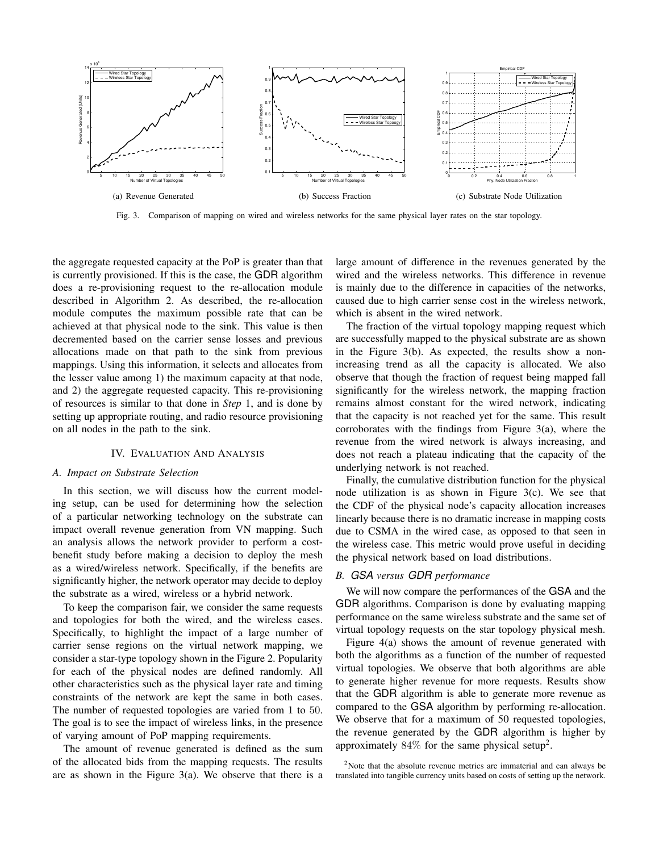

Fig. 3. Comparison of mapping on wired and wireless networks for the same physical layer rates on the star topology.

the aggregate requested capacity at the PoP is greater than that is currently provisioned. If this is the case, the GDR algorithm does a re-provisioning request to the re-allocation module described in Algorithm 2. As described, the re-allocation module computes the maximum possible rate that can be achieved at that physical node to the sink. This value is then decremented based on the carrier sense losses and previous allocations made on that path to the sink from previous mappings. Using this information, it selects and allocates from the lesser value among 1) the maximum capacity at that node, and 2) the aggregate requested capacity. This re-provisioning of resources is similar to that done in *Step* 1, and is done by setting up appropriate routing, and radio resource provisioning on all nodes in the path to the sink.

## IV. EVALUATION AND ANALYSIS

## *A. Impact on Substrate Selection*

In this section, we will discuss how the current modeling setup, can be used for determining how the selection of a particular networking technology on the substrate can impact overall revenue generation from VN mapping. Such an analysis allows the network provider to perform a costbenefit study before making a decision to deploy the mesh as a wired/wireless network. Specifically, if the benefits are significantly higher, the network operator may decide to deploy the substrate as a wired, wireless or a hybrid network.

To keep the comparison fair, we consider the same requests and topologies for both the wired, and the wireless cases. Specifically, to highlight the impact of a large number of carrier sense regions on the virtual network mapping, we consider a star-type topology shown in the Figure 2. Popularity for each of the physical nodes are defined randomly. All other characteristics such as the physical layer rate and timing constraints of the network are kept the same in both cases. The number of requested topologies are varied from 1 to 50. The goal is to see the impact of wireless links, in the presence of varying amount of PoP mapping requirements.

The amount of revenue generated is defined as the sum of the allocated bids from the mapping requests. The results are as shown in the Figure  $3(a)$ . We observe that there is a large amount of difference in the revenues generated by the wired and the wireless networks. This difference in revenue is mainly due to the difference in capacities of the networks, caused due to high carrier sense cost in the wireless network, which is absent in the wired network.

The fraction of the virtual topology mapping request which are successfully mapped to the physical substrate are as shown in the Figure 3(b). As expected, the results show a nonincreasing trend as all the capacity is allocated. We also observe that though the fraction of request being mapped fall significantly for the wireless network, the mapping fraction remains almost constant for the wired network, indicating that the capacity is not reached yet for the same. This result corroborates with the findings from Figure 3(a), where the revenue from the wired network is always increasing, and does not reach a plateau indicating that the capacity of the underlying network is not reached.

Finally, the cumulative distribution function for the physical node utilization is as shown in Figure 3(c). We see that the CDF of the physical node's capacity allocation increases linearly because there is no dramatic increase in mapping costs due to CSMA in the wired case, as opposed to that seen in the wireless case. This metric would prove useful in deciding the physical network based on load distributions.

# *B. GSA versus GDR performance*

We will now compare the performances of the GSA and the GDR algorithms. Comparison is done by evaluating mapping performance on the same wireless substrate and the same set of virtual topology requests on the star topology physical mesh.

Figure 4(a) shows the amount of revenue generated with both the algorithms as a function of the number of requested virtual topologies. We observe that both algorithms are able to generate higher revenue for more requests. Results show that the GDR algorithm is able to generate more revenue as compared to the GSA algorithm by performing re-allocation. We observe that for a maximum of 50 requested topologies, the revenue generated by the GDR algorithm is higher by approximately  $84\%$  for the same physical setup<sup>2</sup>.

<sup>2</sup>Note that the absolute revenue metrics are immaterial and can always be translated into tangible currency units based on costs of setting up the network.